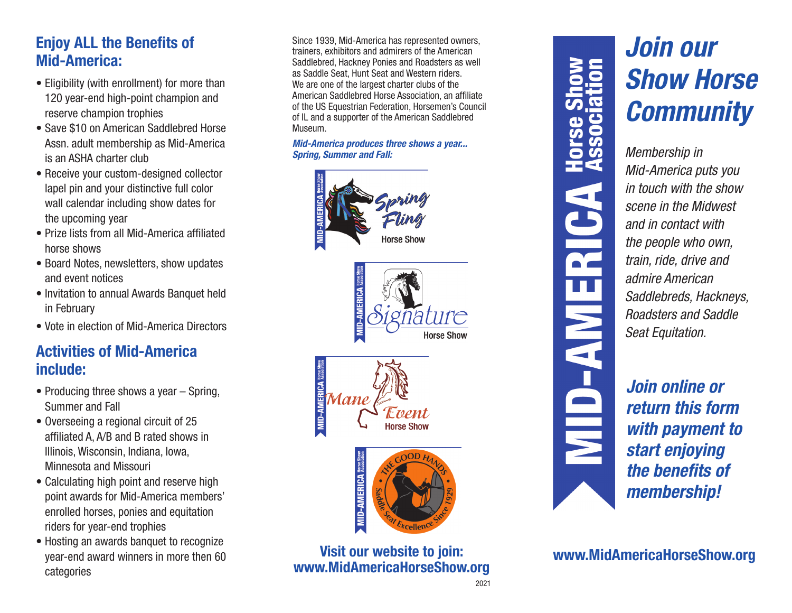# **Enjoy ALL the Benefits of Mid-America:**

- Eligibility (with enrollment) for more than 120 year-end high-point champion and reserve champion trophies
- Save \$10 on American Saddlebred Horse Assn. adult membership as Mid-America is an ASHA charter club
- Receive your custom-designed collector lapel pin and your distinctive full color wall calendar including show dates for the upcoming year
- Prize lists from all Mid-America affiliated horse shows
- Board Notes, newsletters, show updates and event notices
- Invitation to annual Awards Banquet held in February
- Vote in election of Mid-America Directors

# **Activities of Mid-America include:**

- Producing three shows a year Spring, Summer and Fall
- Overseeing a regional circuit of 25 affiliated A, A/B and B rated shows in Illinois, Wisconsin, Indiana, Iowa, Minnesota and Missouri
- Calculating high point and reserve high point awards for Mid-America members' enrolled horses, ponies and equitation riders for year-end trophies
- Hosting an awards banquet to recognize year-end award winners in more then 60 categories

Since 1939, Mid-America has represented owners, trainers, exhibitors and admirers of the American Saddlebred, Hackney Ponies and Roadsters as well as Saddle Seat, Hunt Seat and Western riders. We are one of the largest charter clubs of the American Saddlebred Horse Association, an affiliate of the US Equestrian Federation, Horsemen's Council of IL and a supporter of the American Saddlebred Museum.

## *Mid-America produces three shows a year... Spring, Summer and Fall:*









**Visit our website to join: www.MidAmericaHorseShow.org**



# *Join our Show Horse Community*

*Membership in Mid-America puts you in touch with the show scene in the Midwest and in contact with the people who own, train, ride, drive and admire American Saddlebreds, Hackneys, Roadsters and Saddle Seat Equitation.*

*Join online or return this form with payment to start enjoying the benefits of membership!*

**www.MidAmericaHorseShow.org**